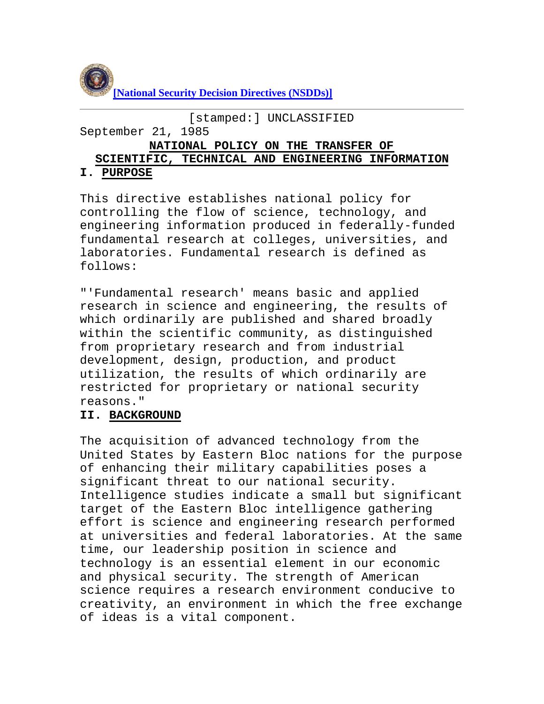

```
[stamped:] UNCLASSIFIED
```
September 21, 1985

#### **NATIONAL POLICY ON THE TRANSFER OF**

# **SCIENTIFIC, TECHNICAL AND ENGINEERING INFORMATION**

## **I. PURPOSE**

This directive establishes national policy for controlling the flow of science, technology, and engineering information produced in federally-funded fundamental research at colleges, universities, and laboratories. Fundamental research is defined as follows:

"'Fundamental research' means basic and applied research in science and engineering, the results of which ordinarily are published and shared broadly within the scientific community, as distinguished from proprietary research and from industrial development, design, production, and product utilization, the results of which ordinarily are restricted for proprietary or national security reasons."

## **II. BACKGROUND**

The acquisition of advanced technology from the United States by Eastern Bloc nations for the purpose of enhancing their military capabilities poses a significant threat to our national security. Intelligence studies indicate a small but significant target of the Eastern Bloc intelligence gathering effort is science and engineering research performed at universities and federal laboratories. At the same time, our leadership position in science and technology is an essential element in our economic and physical security. The strength of American science requires a research environment conducive to creativity, an environment in which the free exchange of ideas is a vital component.